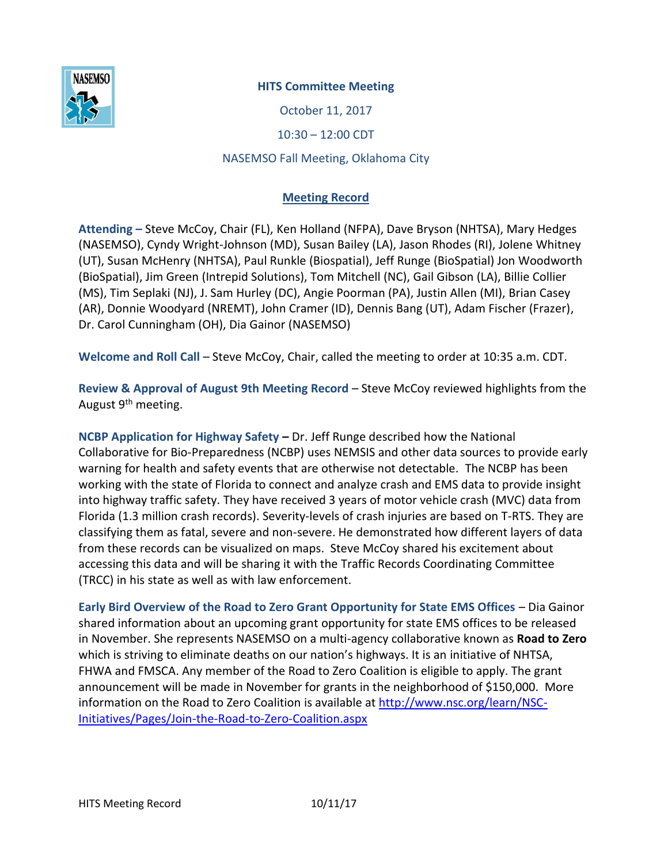

## **HITS Committee Meeting**

October 11, 2017

10:30 – 12:00 CDT

## NASEMSO Fall Meeting, Oklahoma City

## **Meeting Record**

**Attending –** Steve McCoy, Chair (FL), Ken Holland (NFPA), Dave Bryson (NHTSA), Mary Hedges (NASEMSO), Cyndy Wright-Johnson (MD), Susan Bailey (LA), Jason Rhodes (RI), Jolene Whitney (UT), Susan McHenry (NHTSA), Paul Runkle (Biospatial), Jeff Runge (BioSpatial) Jon Woodworth (BioSpatial), Jim Green (Intrepid Solutions), Tom Mitchell (NC), Gail Gibson (LA), Billie Collier (MS), Tim Seplaki (NJ), J. Sam Hurley (DC), Angie Poorman (PA), Justin Allen (MI), Brian Casey (AR), Donnie Woodyard (NREMT), John Cramer (ID), Dennis Bang (UT), Adam Fischer (Frazer), Dr. Carol Cunningham (OH), Dia Gainor (NASEMSO)

**Welcome and Roll Call** – Steve McCoy, Chair, called the meeting to order at 10:35 a.m. CDT.

**Review & Approval of August 9th Meeting Record** – Steve McCoy reviewed highlights from the August 9<sup>th</sup> meeting.

**NCBP Application for Highway Safety –** Dr. Jeff Runge described how the National Collaborative for Bio-Preparedness (NCBP) uses NEMSIS and other data sources to provide early warning for health and safety events that are otherwise not detectable. The NCBP has been working with the state of Florida to connect and analyze crash and EMS data to provide insight into highway traffic safety. They have received 3 years of motor vehicle crash (MVC) data from Florida (1.3 million crash records). Severity-levels of crash injuries are based on T-RTS. They are classifying them as fatal, severe and non-severe. He demonstrated how different layers of data from these records can be visualized on maps. Steve McCoy shared his excitement about accessing this data and will be sharing it with the Traffic Records Coordinating Committee (TRCC) in his state as well as with law enforcement.

**Early Bird Overview of the Road to Zero Grant Opportunity for State EMS Offices** – Dia Gainor shared information about an upcoming grant opportunity for state EMS offices to be released in November. She represents NASEMSO on a multi-agency collaborative known as **Road to Zero** which is striving to eliminate deaths on our nation's highways. It is an initiative of NHTSA, FHWA and FMSCA. Any member of the Road to Zero Coalition is eligible to apply. The grant announcement will be made in November for grants in the neighborhood of \$150,000. More information on the Road to Zero Coalition is available at [http://www.nsc.org/learn/NSC-](http://www.nsc.org/learn/NSC-Initiatives/Pages/Join-the-Road-to-Zero-Coalition.aspx)[Initiatives/Pages/Join-the-Road-to-Zero-Coalition.aspx](http://www.nsc.org/learn/NSC-Initiatives/Pages/Join-the-Road-to-Zero-Coalition.aspx)